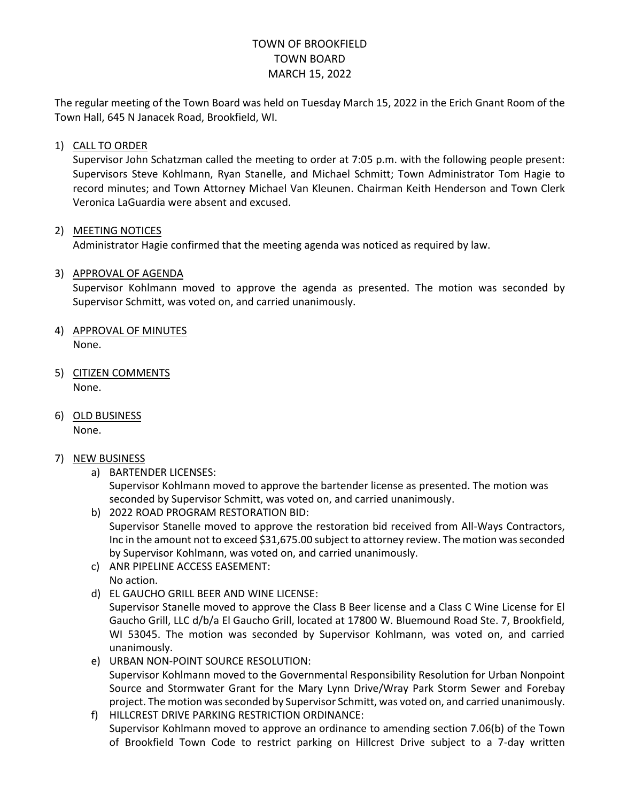# TOWN OF BROOKFIELD TOWN BOARD MARCH 15, 2022

The regular meeting of the Town Board was held on Tuesday March 15, 2022 in the Erich Gnant Room of the Town Hall, 645 N Janacek Road, Brookfield, WI.

## 1) CALL TO ORDER

Supervisor John Schatzman called the meeting to order at 7:05 p.m. with the following people present: Supervisors Steve Kohlmann, Ryan Stanelle, and Michael Schmitt; Town Administrator Tom Hagie to record minutes; and Town Attorney Michael Van Kleunen. Chairman Keith Henderson and Town Clerk Veronica LaGuardia were absent and excused.

## 2) MEETING NOTICES

Administrator Hagie confirmed that the meeting agenda was noticed as required by law.

## 3) APPROVAL OF AGENDA

Supervisor Kohlmann moved to approve the agenda as presented. The motion was seconded by Supervisor Schmitt, was voted on, and carried unanimously.

- 4) APPROVAL OF MINUTES None.
- 5) CITIZEN COMMENTS None.
- 6) OLD BUSINESS None.

#### 7) NEW BUSINESS

a) BARTENDER LICENSES:

Supervisor Kohlmann moved to approve the bartender license as presented. The motion was seconded by Supervisor Schmitt, was voted on, and carried unanimously.

- b) 2022 ROAD PROGRAM RESTORATION BID: Supervisor Stanelle moved to approve the restoration bid received from All-Ways Contractors, Inc in the amount not to exceed \$31,675.00 subject to attorney review. The motion was seconded by Supervisor Kohlmann, was voted on, and carried unanimously.
- c) ANR PIPELINE ACCESS EASEMENT:
- No action.
- d) EL GAUCHO GRILL BEER AND WINE LICENSE:

Supervisor Stanelle moved to approve the Class B Beer license and a Class C Wine License for El Gaucho Grill, LLC d/b/a El Gaucho Grill, located at 17800 W. Bluemound Road Ste. 7, Brookfield, WI 53045. The motion was seconded by Supervisor Kohlmann, was voted on, and carried unanimously.

- e) URBAN NON-POINT SOURCE RESOLUTION: Supervisor Kohlmann moved to the Governmental Responsibility Resolution for Urban Nonpoint Source and Stormwater Grant for the Mary Lynn Drive/Wray Park Storm Sewer and Forebay project. The motion was seconded by Supervisor Schmitt, was voted on, and carried unanimously.
- f) HILLCREST DRIVE PARKING RESTRICTION ORDINANCE: Supervisor Kohlmann moved to approve an ordinance to amending section 7.06(b) of the Town of Brookfield Town Code to restrict parking on Hillcrest Drive subject to a 7-day written